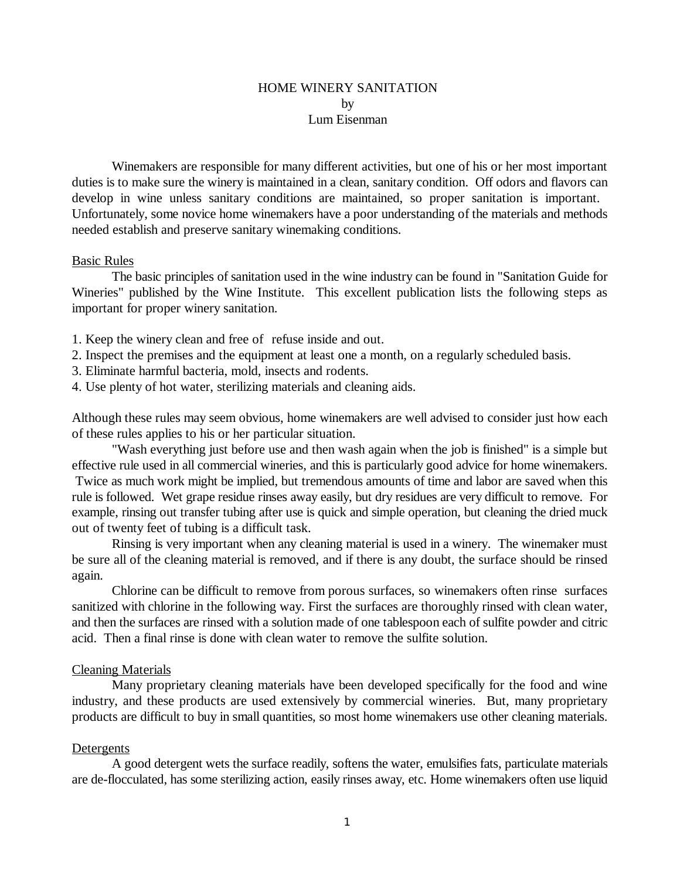### HOME WINERY SANITATION by Lum Eisenman

Winemakers are responsible for many different activities, but one of his or her most important duties is to make sure the winery is maintained in a clean, sanitary condition. Off odors and flavors can develop in wine unless sanitary conditions are maintained, so proper sanitation is important. Unfortunately, some novice home winemakers have a poor understanding of the materials and methods needed establish and preserve sanitary winemaking conditions.

#### Basic Rules

The basic principles of sanitation used in the wine industry can be found in "Sanitation Guide for Wineries" published by the Wine Institute. This excellent publication lists the following steps as important for proper winery sanitation.

- 1. Keep the winery clean and free of refuse inside and out.
- 2. Inspect the premises and the equipment at least one a month, on a regularly scheduled basis.
- 3. Eliminate harmful bacteria, mold, insects and rodents.
- 4. Use plenty of hot water, sterilizing materials and cleaning aids.

Although these rules may seem obvious, home winemakers are well advised to consider just how each of these rules applies to his or her particular situation.

"Wash everything just before use and then wash again when the job is finished" is a simple but effective rule used in all commercial wineries, and this is particularly good advice for home winemakers. Twice as much work might be implied, but tremendous amounts of time and labor are saved when this rule is followed. Wet grape residue rinses away easily, but dry residues are very difficult to remove. For example, rinsing out transfer tubing after use is quick and simple operation, but cleaning the dried muck out of twenty feet of tubing is a difficult task.

Rinsing is very important when any cleaning material is used in a winery. The winemaker must be sure all of the cleaning material is removed, and if there is any doubt, the surface should be rinsed again.

Chlorine can be difficult to remove from porous surfaces, so winemakers often rinse surfaces sanitized with chlorine in the following way. First the surfaces are thoroughly rinsed with clean water, and then the surfaces are rinsed with a solution made of one tablespoon each of sulfite powder and citric acid. Then a final rinse is done with clean water to remove the sulfite solution.

#### Cleaning Materials

Many proprietary cleaning materials have been developed specifically for the food and wine industry, and these products are used extensively by commercial wineries. But, many proprietary products are difficult to buy in small quantities, so most home winemakers use other cleaning materials.

### **Detergents**

A good detergent wets the surface readily, softens the water, emulsifies fats, particulate materials are de-flocculated, has some sterilizing action, easily rinses away, etc. Home winemakers often use liquid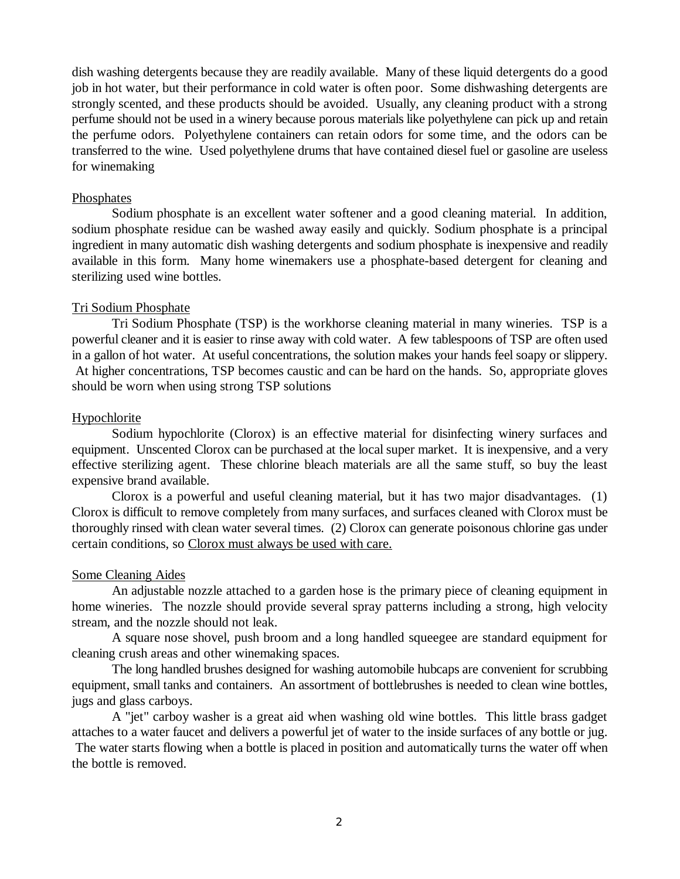dish washing detergents because they are readily available. Many of these liquid detergents do a good job in hot water, but their performance in cold water is often poor. Some dishwashing detergents are strongly scented, and these products should be avoided. Usually, any cleaning product with a strong perfume should not be used in a winery because porous materials like polyethylene can pick up and retain the perfume odors. Polyethylene containers can retain odors for some time, and the odors can be transferred to the wine. Used polyethylene drums that have contained diesel fuel or gasoline are useless for winemaking

# Phosphates

Sodium phosphate is an excellent water softener and a good cleaning material. In addition, sodium phosphate residue can be washed away easily and quickly. Sodium phosphate is a principal ingredient in many automatic dish washing detergents and sodium phosphate is inexpensive and readily available in this form. Many home winemakers use a phosphate-based detergent for cleaning and sterilizing used wine bottles.

# Tri Sodium Phosphate

Tri Sodium Phosphate (TSP) is the workhorse cleaning material in many wineries. TSP is a powerful cleaner and it is easier to rinse away with cold water. A few tablespoons of TSP are often used in a gallon of hot water. At useful concentrations, the solution makes your hands feel soapy or slippery. At higher concentrations, TSP becomes caustic and can be hard on the hands. So, appropriate gloves should be worn when using strong TSP solutions

# Hypochlorite

Sodium hypochlorite (Clorox) is an effective material for disinfecting winery surfaces and equipment. Unscented Clorox can be purchased at the local super market. It is inexpensive, and a very effective sterilizing agent. These chlorine bleach materials are all the same stuff, so buy the least expensive brand available.

Clorox is a powerful and useful cleaning material, but it has two major disadvantages. (1) Clorox is difficult to remove completely from many surfaces, and surfaces cleaned with Clorox must be thoroughly rinsed with clean water several times. (2) Clorox can generate poisonous chlorine gas under certain conditions, so Clorox must always be used with care.

### Some Cleaning Aides

An adjustable nozzle attached to a garden hose is the primary piece of cleaning equipment in home wineries. The nozzle should provide several spray patterns including a strong, high velocity stream, and the nozzle should not leak.

A square nose shovel, push broom and a long handled squeegee are standard equipment for cleaning crush areas and other winemaking spaces.

The long handled brushes designed for washing automobile hubcaps are convenient for scrubbing equipment, small tanks and containers. An assortment of bottlebrushes is needed to clean wine bottles, jugs and glass carboys.

A "jet" carboy washer is a great aid when washing old wine bottles. This little brass gadget attaches to a water faucet and delivers a powerful jet of water to the inside surfaces of any bottle or jug. The water starts flowing when a bottle is placed in position and automatically turns the water off when the bottle is removed.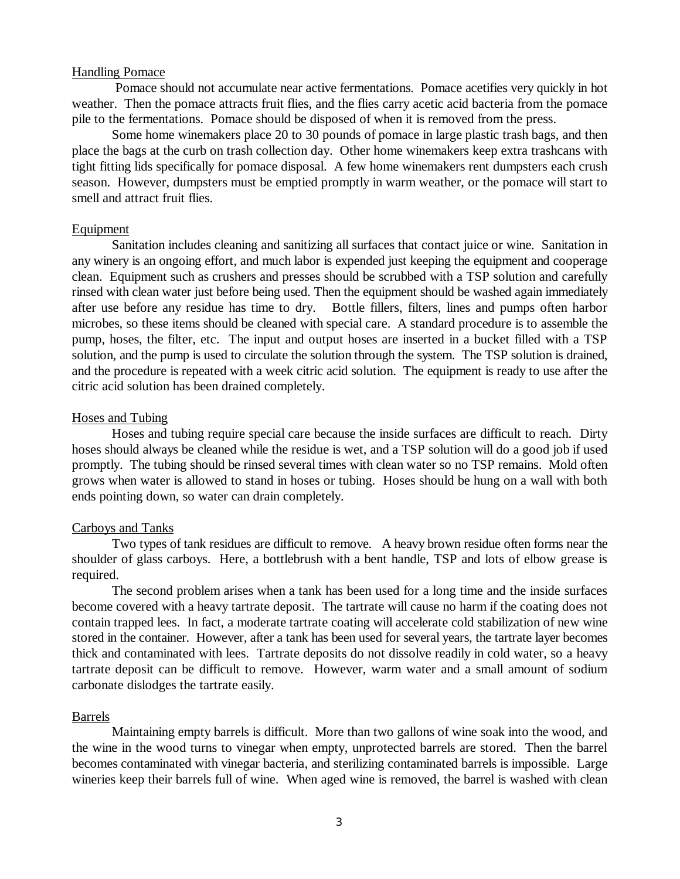### Handling Pomace

 Pomace should not accumulate near active fermentations. Pomace acetifies very quickly in hot weather. Then the pomace attracts fruit flies, and the flies carry acetic acid bacteria from the pomace pile to the fermentations. Pomace should be disposed of when it is removed from the press.

Some home winemakers place 20 to 30 pounds of pomace in large plastic trash bags, and then place the bags at the curb on trash collection day. Other home winemakers keep extra trashcans with tight fitting lids specifically for pomace disposal. A few home winemakers rent dumpsters each crush season. However, dumpsters must be emptied promptly in warm weather, or the pomace will start to smell and attract fruit flies.

#### Equipment

Sanitation includes cleaning and sanitizing all surfaces that contact juice or wine. Sanitation in any winery is an ongoing effort, and much labor is expended just keeping the equipment and cooperage clean. Equipment such as crushers and presses should be scrubbed with a TSP solution and carefully rinsed with clean water just before being used. Then the equipment should be washed again immediately after use before any residue has time to dry. Bottle fillers, filters, lines and pumps often harbor microbes, so these items should be cleaned with special care. A standard procedure is to assemble the pump, hoses, the filter, etc. The input and output hoses are inserted in a bucket filled with a TSP solution, and the pump is used to circulate the solution through the system. The TSP solution is drained, and the procedure is repeated with a week citric acid solution. The equipment is ready to use after the citric acid solution has been drained completely.

#### Hoses and Tubing

Hoses and tubing require special care because the inside surfaces are difficult to reach. Dirty hoses should always be cleaned while the residue is wet, and a TSP solution will do a good job if used promptly. The tubing should be rinsed several times with clean water so no TSP remains. Mold often grows when water is allowed to stand in hoses or tubing. Hoses should be hung on a wall with both ends pointing down, so water can drain completely.

#### Carboys and Tanks

Two types of tank residues are difficult to remove. A heavy brown residue often forms near the shoulder of glass carboys. Here, a bottlebrush with a bent handle, TSP and lots of elbow grease is required.

The second problem arises when a tank has been used for a long time and the inside surfaces become covered with a heavy tartrate deposit. The tartrate will cause no harm if the coating does not contain trapped lees. In fact, a moderate tartrate coating will accelerate cold stabilization of new wine stored in the container. However, after a tank has been used for several years, the tartrate layer becomes thick and contaminated with lees. Tartrate deposits do not dissolve readily in cold water, so a heavy tartrate deposit can be difficult to remove. However, warm water and a small amount of sodium carbonate dislodges the tartrate easily.

### Barrels

Maintaining empty barrels is difficult. More than two gallons of wine soak into the wood, and the wine in the wood turns to vinegar when empty, unprotected barrels are stored. Then the barrel becomes contaminated with vinegar bacteria, and sterilizing contaminated barrels is impossible. Large wineries keep their barrels full of wine. When aged wine is removed, the barrel is washed with clean